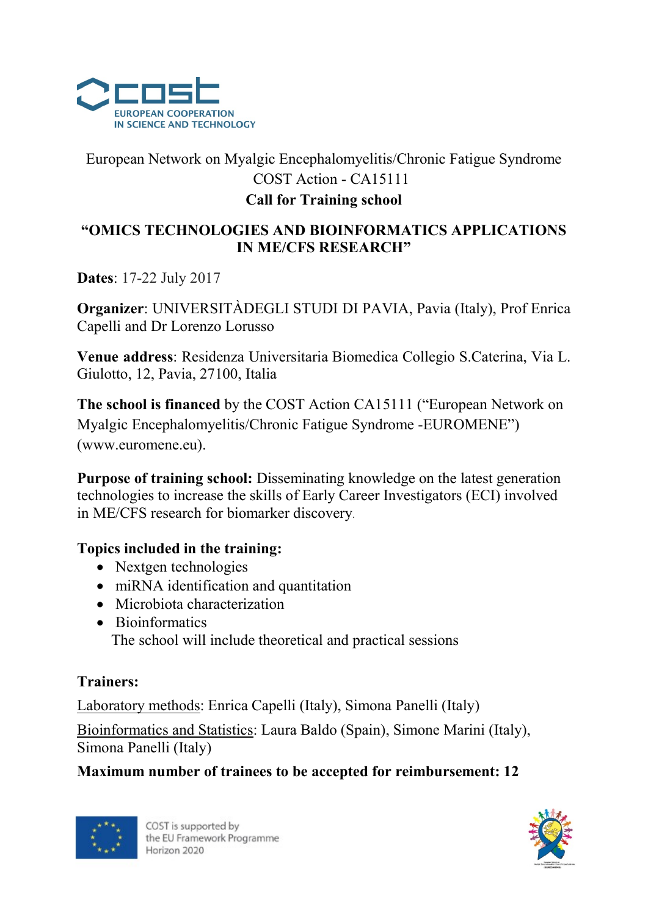

# European Network on Myalgic Encephalomyelitis/Chronic Fatigue Syndrome COST Action - CA15111 Call for Training school

### "OMICS TECHNOLOGIES AND BIOINFORMATICS APPLICATIONS IN ME/CFS RESEARCH"

Dates: 17-22 July 2017

Organizer: UNIVERSITÀDEGLI STUDI DI PAVIA, Pavia (Italy), Prof Enrica Capelli and Dr Lorenzo Lorusso

Venue address: Residenza Universitaria Biomedica Collegio S.Caterina, Via L. Giulotto, 12, Pavia, 27100, Italia

The school is financed by the COST Action CA15111 ("European Network on Myalgic Encephalomyelitis/Chronic Fatigue Syndrome -EUROMENE") (www.euromene.eu).

Purpose of training school: Disseminating knowledge on the latest generation technologies to increase the skills of Early Career Investigators (ECI) involved in ME/CFS research for biomarker discovery.

#### Topics included in the training:

- Nextgen technologies
- miRNA identification and quantitation
- Microbiota characterization
- Bioinformatics The school will include theoretical and practical sessions

### Trainers:

Laboratory methods: Enrica Capelli (Italy), Simona Panelli (Italy)

Bioinformatics and Statistics: Laura Baldo (Spain), Simone Marini (Italy), Simona Panelli (Italy)

### Maximum number of trainees to be accepted for reimbursement: 12